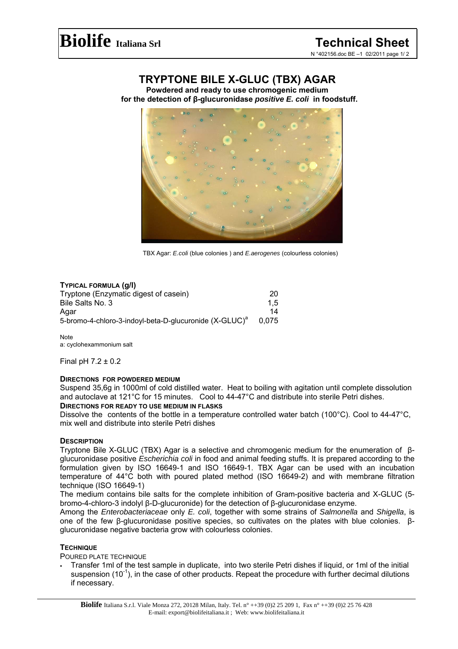# **TRYPTONE BILE X-GLUC (TBX) AGAR**

**Powdered and ready to use chromogenic medium for the detection of β-glucuronidase** *positive E. coli* **in foodstuff.** 



TBX Agar: *E.coli* (blue colonies ) and *E.aerogenes* (colourless colonies)

# **TYPICAL FORMULA (g/l)**

| Tryptone (Enzymatic digest of casein)                              | 20    |
|--------------------------------------------------------------------|-------|
| Bile Salts No. 3                                                   | 1.5   |
| Agar                                                               | 14    |
| 5-bromo-4-chloro-3-indoyl-beta-D-glucuronide (X-GLUC) <sup>a</sup> | 0.075 |

**Note** a: cyclohexammonium salt

Final pH 7.2 ± 0.2

# **DIRECTIONS FOR POWDERED MEDIUM**

Suspend 35,6g in 1000ml of cold distilled water. Heat to boiling with agitation until complete dissolution and autoclave at 121°C for 15 minutes. Cool to 44-47°C and distribute into sterile Petri dishes.

## **DIRECTIONS FOR READY TO USE MEDIUM IN FLASKS**

Dissolve the contents of the bottle in a temperature controlled water batch (100°C). Cool to 44-47°C, mix well and distribute into sterile Petri dishes

# **DESCRIPTION**

Tryptone Bile X-GLUC (TBX) Agar is a selective and chromogenic medium for the enumeration of βglucuronidase positive *Escherichia coli* in food and animal feeding stuffs. It is prepared according to the formulation given by ISO 16649-1 and ISO 16649-1. TBX Agar can be used with an incubation temperature of 44°C both with poured plated method (ISO 16649-2) and with membrane filtration technique (ISO 16649-1)

The medium contains bile salts for the complete inhibition of Gram-positive bacteria and X-GLUC (5 bromo-4-chloro-3 indolyl β-D-glucuronide) for the detection of β-glucuronidase enzyme.

Among the *Enterobacteriaceae* only *E. coli*, together with some strains of *Salmonella* and *Shigella*, is one of the few β-glucuronidase positive species, so cultivates on the plates with blue colonies. βglucuronidase negative bacteria grow with colourless colonies.

# **TECHNIQUE**

POURED PLATE TECHNIQUE

 Transfer 1ml of the test sample in duplicate, into two sterile Petri dishes if liquid, or 1ml of the initial suspension  $(10^{-1})$ , in the case of other products. Repeat the procedure with further decimal dilutions if necessary.